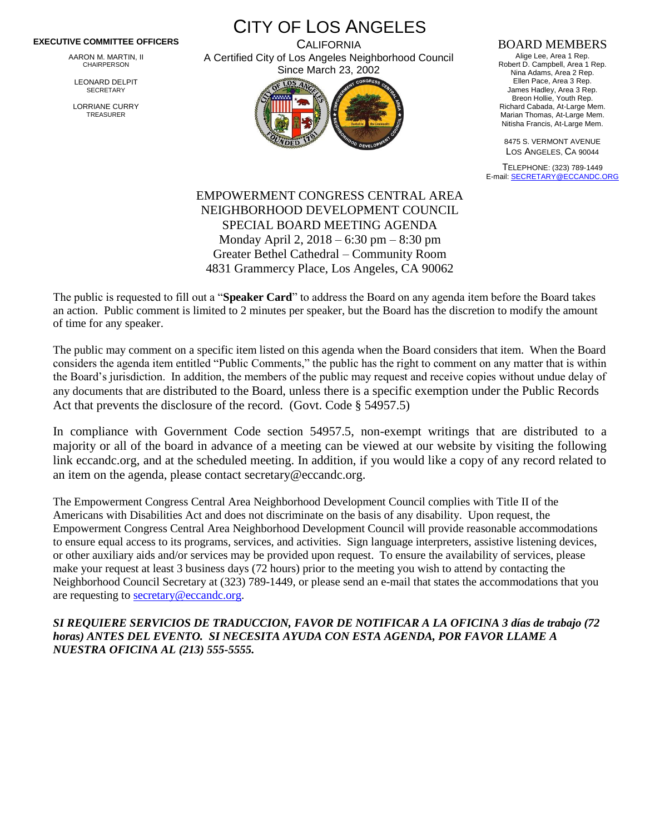## **EXECUTIVE COMMITTEE OFFICERS**

AARON M. MARTIN, II CHAIRPERSON

LEONARD DELPIT **SECRETARY** 

LORRIANE CURRY TREASURER

CITY OF LOS ANGELES **CALIFORNIA** A Certified City of Los Angeles Neighborhood Council



## BOARD MEMBERS

Alige Lee, Area 1 Rep. Robert D. Campbell, Area 1 Rep. Nina Adams, Area 2 Rep. Ellen Pace, Area 3 Rep. James Hadley, Area 3 Rep. Breon Hollie, Youth Rep. Richard Cabada, At-Large Mem. Marian Thomas, At-Large Mem. Nitisha Francis, At-Large Mem.

8475 S. VERMONT AVENUE LOS ANGELES, CA 90044

TELEPHONE: (323) 789-1449 E-mail[: SECRETARY@ECCANDC.ORG](mailto:SECRETARY@ECCANDC.ORG)

## EMPOWERMENT CONGRESS CENTRAL AREA NEIGHBORHOOD DEVELOPMENT COUNCIL SPECIAL BOARD MEETING AGENDA Monday April 2, 2018 – 6:30 pm – 8:30 pm Greater Bethel Cathedral – Community Room 4831 Grammercy Place, Los Angeles, CA 90062

The public is requested to fill out a "**Speaker Card**" to address the Board on any agenda item before the Board takes an action. Public comment is limited to 2 minutes per speaker, but the Board has the discretion to modify the amount of time for any speaker.

The public may comment on a specific item listed on this agenda when the Board considers that item. When the Board considers the agenda item entitled "Public Comments," the public has the right to comment on any matter that is within the Board's jurisdiction. In addition, the members of the public may request and receive copies without undue delay of any documents that are distributed to the Board, unless there is a specific exemption under the Public Records Act that prevents the disclosure of the record. (Govt. Code § 54957.5)

In compliance with Government Code section 54957.5, non-exempt writings that are distributed to a majority or all of the board in advance of a meeting can be viewed at our website by visiting the following link eccandc.org, and at the scheduled meeting. In addition, if you would like a copy of any record related to an item on the agenda, please contact secretary@eccandc.org.

The Empowerment Congress Central Area Neighborhood Development Council complies with Title II of the Americans with Disabilities Act and does not discriminate on the basis of any disability. Upon request, the Empowerment Congress Central Area Neighborhood Development Council will provide reasonable accommodations to ensure equal access to its programs, services, and activities. Sign language interpreters, assistive listening devices, or other auxiliary aids and/or services may be provided upon request. To ensure the availability of services, please make your request at least 3 business days (72 hours) prior to the meeting you wish to attend by contacting the Neighborhood Council Secretary at (323) 789-1449, or please send an e-mail that states the accommodations that you are requesting to [secretary@eccandc.org.](mailto:secretary@eccandc.org)

*SI REQUIERE SERVICIOS DE TRADUCCION, FAVOR DE NOTIFICAR A LA OFICINA 3 días de trabajo (72 horas) ANTES DEL EVENTO. SI NECESITA AYUDA CON ESTA AGENDA, POR FAVOR LLAME A NUESTRA OFICINA AL (213) 555-5555.*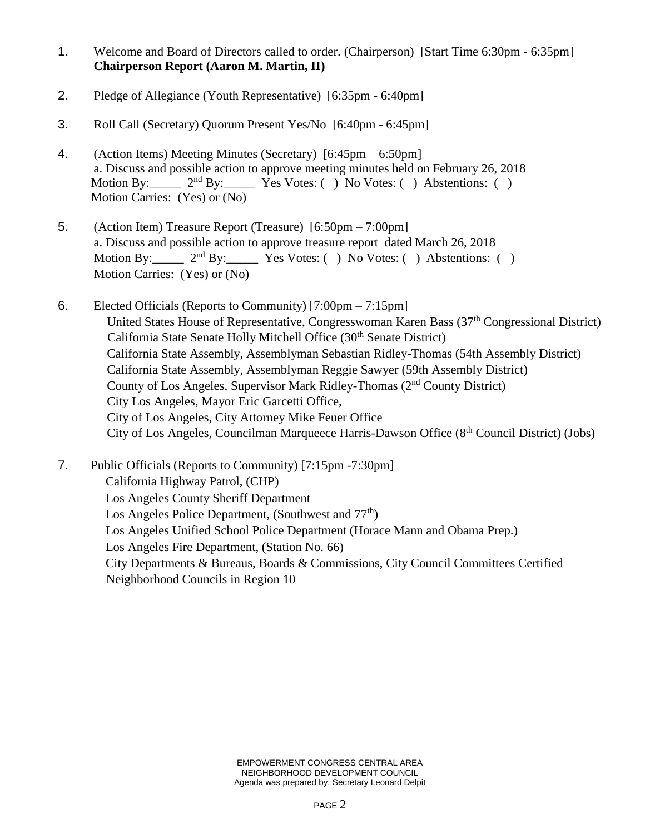- 1. Welcome and Board of Directors called to order. (Chairperson) [Start Time 6:30pm 6:35pm] **Chairperson Report (Aaron M. Martin, II)**
- 2. Pledge of Allegiance (Youth Representative) [6:35pm 6:40pm]
- 3. Roll Call (Secretary) Quorum Present Yes/No [6:40pm 6:45pm]
- 4. (Action Items) Meeting Minutes (Secretary) [6:45pm 6:50pm] a. Discuss and possible action to approve meeting minutes held on February 26, 2018<br>Motion By:  $2^{nd}$  By: Yes Votes: () No Votes: () Abstentions: ()  $2<sup>nd</sup> By:$  Yes Votes: ( ) No Votes: ( ) Abstentions: ( ) Motion Carries: (Yes) or (No)
- 5. (Action Item) Treasure Report (Treasure) [6:50pm 7:00pm] a. Discuss and possible action to approve treasure report dated March 26, 2018 Motion By:  $2<sup>nd</sup> By: Yes Votes: () No Votes: () Abstentions: ()$ Motion Carries: (Yes) or (No)
- 6. Elected Officials (Reports to Community) [7:00pm 7:15pm] United States House of Representative, Congresswoman Karen Bass (37<sup>th</sup> Congressional District) California State Senate Holly Mitchell Office (30<sup>th</sup> Senate District) California State Assembly, Assemblyman Sebastian Ridley-Thomas (54th Assembly District) California State Assembly, Assemblyman Reggie Sawyer (59th Assembly District) County of Los Angeles, Supervisor Mark Ridley-Thomas (2nd County District) City Los Angeles, Mayor Eric Garcetti Office, City of Los Angeles, City Attorney Mike Feuer Office City of Los Angeles, Councilman Marqueece Harris-Dawson Office (8<sup>th</sup> Council District) (Jobs)

7. Public Officials (Reports to Community) [7:15pm -7:30pm] California Highway Patrol, (CHP) Los Angeles County Sheriff Department Los Angeles Police Department, (Southwest and  $77<sup>th</sup>$ ) Los Angeles Unified School Police Department (Horace Mann and Obama Prep.) Los Angeles Fire Department, (Station No. 66) City Departments & Bureaus, Boards & Commissions, City Council Committees Certified Neighborhood Councils in Region 10